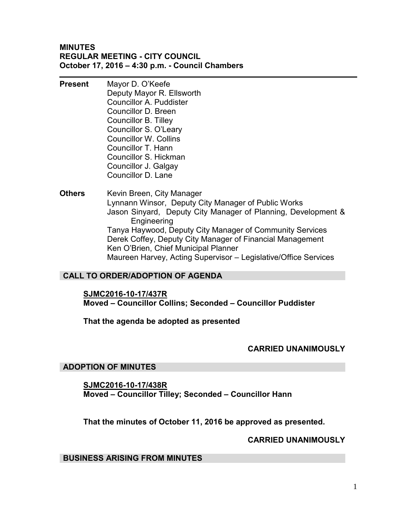### **MINUTES REGULAR MEETING - CITY COUNCIL October 17, 2016 – 4:30 p.m. - Council Chambers**

- **Present** Mayor D. O'Keefe Deputy Mayor R. Ellsworth Councillor A. Puddister Councillor D. Breen Councillor B. Tilley Councillor S. O'Leary Councillor W. Collins Councillor T. Hann Councillor S. Hickman Councillor J. Galgay Councillor D. Lane
- **Others** Kevin Breen, City Manager Lynnann Winsor, Deputy City Manager of Public Works Jason Sinyard, Deputy City Manager of Planning, Development & Engineering Tanya Haywood, Deputy City Manager of Community Services Derek Coffey, Deputy City Manager of Financial Management Ken O'Brien, Chief Municipal Planner Maureen Harvey, Acting Supervisor – Legislative/Office Services

# **CALL TO ORDER/ADOPTION OF AGENDA**

**SJMC2016-10-17/437R** 

**Moved – Councillor Collins; Seconded – Councillor Puddister** 

**That the agenda be adopted as presented** 

### **CARRIED UNANIMOUSLY**

### **ADOPTION OF MINUTES**

**SJMC2016-10-17/438R Moved – Councillor Tilley; Seconded – Councillor Hann** 

**That the minutes of October 11, 2016 be approved as presented.** 

### **CARRIED UNANIMOUSLY**

### **BUSINESS ARISING FROM MINUTES**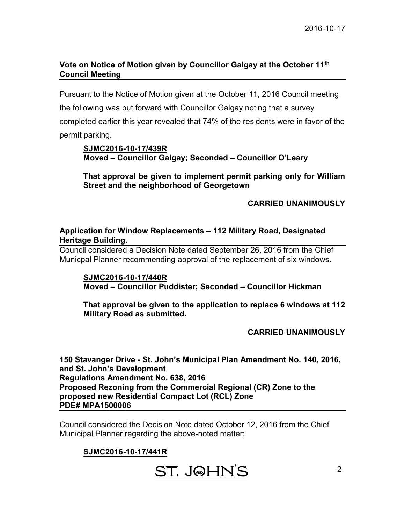# **Vote on Notice of Motion given by Councillor Galgay at the October 11th Council Meeting**

Pursuant to the Notice of Motion given at the October 11, 2016 Council meeting the following was put forward with Councillor Galgay noting that a survey completed earlier this year revealed that 74% of the residents were in favor of the permit parking.

# **SJMC2016-10-17/439R Moved – Councillor Galgay; Seconded – Councillor O'Leary**

**That approval be given to implement permit parking only for William Street and the neighborhood of Georgetown** 

# **CARRIED UNANIMOUSLY**

# **Application for Window Replacements – 112 Military Road, Designated Heritage Building.**

Council considered a Decision Note dated September 26, 2016 from the Chief Municpal Planner recommending approval of the replacement of six windows.

**SJMC2016-10-17/440R Moved – Councillor Puddister; Seconded – Councillor Hickman** 

**That approval be given to the application to replace 6 windows at 112 Military Road as submitted.** 

**CARRIED UNANIMOUSLY**

**150 Stavanger Drive - St. John's Municipal Plan Amendment No. 140, 2016, and St. John's Development Regulations Amendment No. 638, 2016 Proposed Rezoning from the Commercial Regional (CR) Zone to the proposed new Residential Compact Lot (RCL) Zone PDE# MPA1500006**

Council considered the Decision Note dated October 12, 2016 from the Chief Municipal Planner regarding the above-noted matter:

# **SJMC2016-10-17/441R**

ST. J@HN'S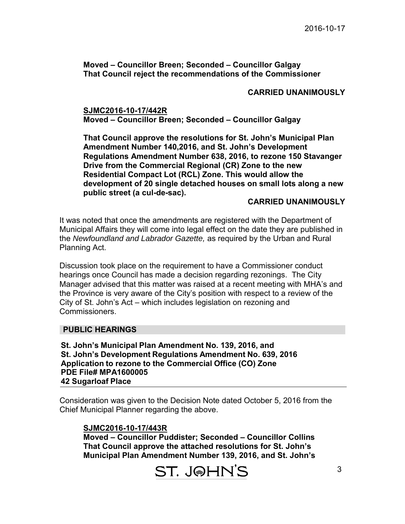# **Moved – Councillor Breen; Seconded – Councillor Galgay That Council reject the recommendations of the Commissioner**

# **CARRIED UNANIMOUSLY**

### **SJMC2016-10-17/442R Moved – Councillor Breen; Seconded – Councillor Galgay**

**That Council approve the resolutions for St. John's Municipal Plan Amendment Number 140,2016, and St. John's Development Regulations Amendment Number 638, 2016, to rezone 150 Stavanger Drive from the Commercial Regional (CR) Zone to the new Residential Compact Lot (RCL) Zone. This would allow the development of 20 single detached houses on small lots along a new public street (a cul-de-sac).** 

### **CARRIED UNANIMOUSLY**

It was noted that once the amendments are registered with the Department of Municipal Affairs they will come into legal effect on the date they are published in the *Newfoundland and Labrador Gazette,* as required by the Urban and Rural Planning Act.

Discussion took place on the requirement to have a Commissioner conduct hearings once Council has made a decision regarding rezonings. The City Manager advised that this matter was raised at a recent meeting with MHA's and the Province is very aware of the City's position with respect to a review of the City of St. John's Act – which includes legislation on rezoning and Commissioners.

### **PUBLIC HEARINGS**

**St. John's Municipal Plan Amendment No. 139, 2016, and St. John's Development Regulations Amendment No. 639, 2016 Application to rezone to the Commercial Office (CO) Zone PDE File# MPA1600005 42 Sugarloaf Place** 

Consideration was given to the Decision Note dated October 5, 2016 from the Chief Municipal Planner regarding the above.

### **SJMC2016-10-17/443R**

**Moved – Councillor Puddister; Seconded – Councillor Collins That Council approve the attached resolutions for St. John's Municipal Plan Amendment Number 139, 2016, and St. John's**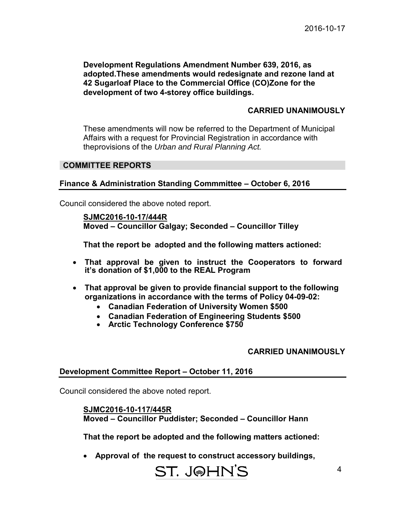**Development Regulations Amendment Number 639, 2016, as adopted.These amendments would redesignate and rezone land at 42 Sugarloaf Place to the Commercial Office (CO)Zone for the development of two 4-storey office buildings.** 

### **CARRIED UNANIMOUSLY**

These amendments will now be referred to the Department of Municipal Affairs with a request for Provincial Registration in accordance with theprovisions of the *Urban and Rural Planning Act.*

### **COMMITTEE REPORTS**

### **Finance & Administration Standing Commmittee – October 6, 2016**

Council considered the above noted report.

 **SJMC2016-10-17/444R Moved – Councillor Galgay; Seconded – Councillor Tilley** 

 **That the report be adopted and the following matters actioned:** 

- **That approval be given to instruct the Cooperators to forward it's donation of \$1,000 to the REAL Program**
- **That approval be given to provide financial support to the following organizations in accordance with the terms of Policy 04-09-02:**
	- **Canadian Federation of University Women \$500**
	- **Canadian Federation of Engineering Students \$500**
	- **Arctic Technology Conference \$750**

### **CARRIED UNANIMOUSLY**

### **Development Committee Report – October 11, 2016**

Council considered the above noted report.

### **SJMC2016-10-117/445R Moved – Councillor Puddister; Seconded – Councillor Hann**

 **That the report be adopted and the following matters actioned:** 

**Approval of the request to construct accessory buildings,** 

# ST. J@HN'S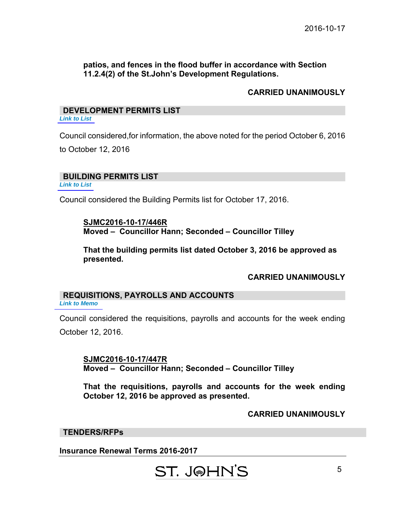# **patios, and fences in the flood buffer in accordance with Section 11.2.4(2) of the St.John's Development Regulations.**

# **CARRIED UNANIMOUSLY**

# **DEVELOPMENT PERMITS LIST**

*[Link to List](#page-6-0)* 

Council considered,for information, the above noted for the period October 6, 2016

to October 12, 2016

### **BUILDING PERMITS LIST**

*[Link to List](#page-7-0)* 

Council considered the Building Permits list for October 17, 2016.

### **SJMC2016-10-17/446R Moved – Councillor Hann; Seconded – Councillor Tilley**

**That the building permits list dated October 3, 2016 be approved as presented.** 

# **CARRIED UNANIMOUSLY**

#### **REQUISITIONS, PAYROLLS AND ACCOUNTS** *[Link to Memo](#page-10-0)*

Council considered the requisitions, payrolls and accounts for the week ending October 12, 2016.

**SJMC2016-10-17/447R Moved – Councillor Hann; Seconded – Councillor Tilley** 

**That the requisitions, payrolls and accounts for the week ending October 12, 2016 be approved as presented.** 

# **CARRIED UNANIMOUSLY**

### **TENDERS/RFPs**

**Insurance Renewal Terms 2016-2017**

# ST. J@HN'S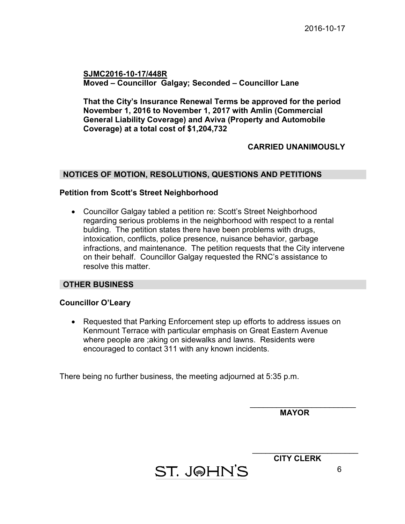**SJMC2016-10-17/448R Moved – Councillor Galgay; Seconded – Councillor Lane**

**That the City's Insurance Renewal Terms be approved for the period November 1, 2016 to November 1, 2017 with Amlin (Commercial General Liability Coverage) and Aviva (Property and Automobile Coverage) at a total cost of \$1,204,732** 

### **CARRIED UNANIMOUSLY**

### **NOTICES OF MOTION, RESOLUTIONS, QUESTIONS AND PETITIONS**

### **Petition from Scott's Street Neighborhood**

• Councillor Galgay tabled a petition re: Scott's Street Neighborhood regarding serious problems in the neighborhood with respect to a rental bulding. The petition states there have been problems with drugs, intoxication, conflicts, police presence, nuisance behavior, garbage infractions, and maintenance. The petition requests that the City intervene on their behalf. Councillor Galgay requested the RNC's assistance to resolve this matter.

### **OTHER BUSINESS**

### **Councillor O'Leary**

• Requested that Parking Enforcement step up efforts to address issues on Kenmount Terrace with particular emphasis on Great Eastern Avenue where people are ;aking on sidewalks and lawns. Residents were encouraged to contact 311 with any known incidents.

ST. J@HN'S

There being no further business, the meeting adjourned at 5:35 p.m.

 **MAYOR** 

 $\overline{\phantom{a}}$  , where  $\overline{\phantom{a}}$  , where  $\overline{\phantom{a}}$  , where  $\overline{\phantom{a}}$  , where  $\overline{\phantom{a}}$ 

 $\overline{\phantom{a}}$  , where  $\overline{\phantom{a}}$  , where  $\overline{\phantom{a}}$  , where  $\overline{\phantom{a}}$  , where  $\overline{\phantom{a}}$ **CITY CLERK** 

6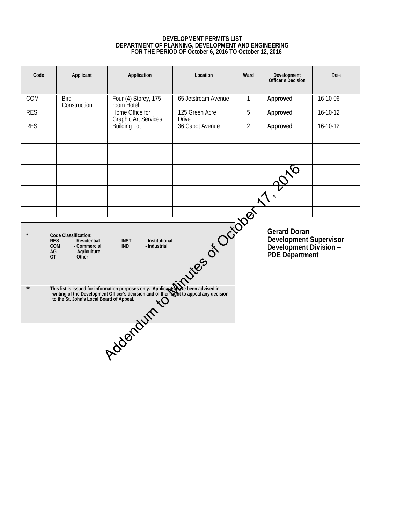### **DEVELOPMENT PERMITS LIST DEPARTMENT OF PLANNING, DEVELOPMENT AND ENGINEERING FOR THE PERIOD OF October 6, 2016 TO October 12, 2016**

<span id="page-6-0"></span>

| Code                                        | Applicant                                                                         | Application                                                                                                                                                                                                           | Location                                                                           | Ward           | Development<br>Officer's Decision | Date           |
|---------------------------------------------|-----------------------------------------------------------------------------------|-----------------------------------------------------------------------------------------------------------------------------------------------------------------------------------------------------------------------|------------------------------------------------------------------------------------|----------------|-----------------------------------|----------------|
| COM                                         | Bird<br>Construction                                                              | Four (4) Storey, 175<br>room Hotel                                                                                                                                                                                    | 65 Jetstream Avenue                                                                | 1              | Approved                          | 16-10-06       |
| <b>RES</b>                                  |                                                                                   | Home Office for<br><b>Graphic Art Services</b>                                                                                                                                                                        | 125 Green Acre<br>Drive                                                            | 5              | Approved                          | $16 - 10 - 12$ |
| <b>RES</b>                                  |                                                                                   | <b>Building Lot</b>                                                                                                                                                                                                   | 36 Cabot Avenue                                                                    | $\overline{2}$ | Approved                          | $16 - 10 - 12$ |
|                                             |                                                                                   |                                                                                                                                                                                                                       |                                                                                    |                |                                   |                |
|                                             |                                                                                   |                                                                                                                                                                                                                       |                                                                                    |                |                                   |                |
|                                             |                                                                                   |                                                                                                                                                                                                                       |                                                                                    |                |                                   |                |
|                                             |                                                                                   |                                                                                                                                                                                                                       |                                                                                    |                |                                   |                |
|                                             |                                                                                   |                                                                                                                                                                                                                       |                                                                                    |                |                                   |                |
|                                             |                                                                                   |                                                                                                                                                                                                                       |                                                                                    |                |                                   |                |
| <b>RES</b><br><b>COM</b><br>AG<br><b>OT</b> | Code Classification:<br>- Residential<br>- Commercial<br>- Agriculture<br>- Other | Nile ber de Coldation                                                                                                                                                                                                 | Gerard Doran<br>Development Supervisor<br>Development Division -<br>PDE Department |                |                                   |                |
| $\star\star$                                |                                                                                   | This list is issued for information purposes only. Applicant with the been advised in writing of the Development Officer's decision and of their with to appeal any decision to the St. John's Local Board of Appeal. |                                                                                    |                |                                   |                |
|                                             |                                                                                   | Address of their                                                                                                                                                                                                      |                                                                                    |                |                                   |                |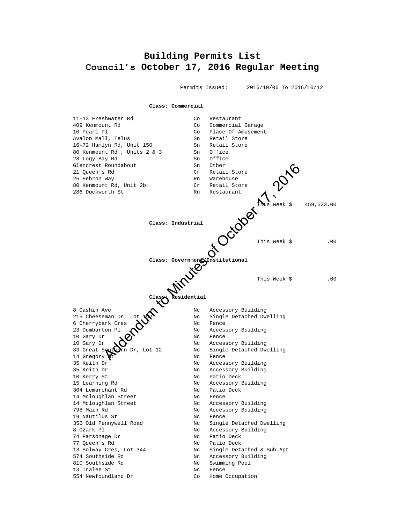# <span id="page-7-0"></span>**Building Permits List Council's October 17, 2016 Regular Meeting**

 Permits Issued: 2016/10/06 To 2016/10/12 **Class: Commercial** 11-13 Freshwater Rd 409 Kenmount Rd Co Commercial Garage 10 Pearl Pl<br>
Avalon Mall, Telus<br>
Sn Retail Store<br>
Sn Retail Store Avalon Mall, Telus 16-72 Hamlyn Rd, Unit 150 Sn Retail Store 80 Kenmount Rd., Units 2 & 3 Sn Office 28 Logy Bay Rd Sn Office Glencrest Roundabout Sn Other 21 Queen's Rd Cr Retail Store 25 Hebron Way **Ramid Warehouse** Rn Warehouse 80 Kenmount Rd, Unit 2b Cr Retail Store 286 Duckworth St **RN** Restaurant This Week \$ 459,533.00 **Class: Industrial** This Week \$ .00 **Class: Government/Institutional** This Week \$ .00 **Class: Residential** 8 Cashin Ave 1999 Mc Accessory Building 215 Cheeseman Dr, Lot  $\mathbb{R}^2$  Nc Single Detached Dwelling 6 Cherrybark Cres  $\sum$  Nc Fence 23 Dumbarton Pl  $\bullet$  Nc Accessory Building 10 Gary Dr  $\bullet$   $\bullet$   $\bullet$  Nc Fence 10 Gary Dr  $\bigcirc$   $\bigcirc$  Nc Accessory Building Nc Single Detached Dwelling 14 Gregory Ct No. 14 Gregory Ct No. 14 Gregory Ct No. 14 Gregory Ct No. 14 Gregory Ct No. 14 Gregory Ct No 35 Keith Dr Nc Accessory Building 35 Keith Dr Nc Accessory Building 10 Kerry St Nc Patio Deck 15 Learning Rd Nc Accessory Building 304 Lemarchant Rd Nc Patio Deck 14 Mcloughlan Street Nc Fence 14 Mcloughlan Street Nc Accessory Building 798 Main Rd **No. 2018** Nc Accessory Building 19 Nautilus St Nc Rence 356 Old Pennywell Road Nc Single Detached Dwelling Roundabout<br>
SERIE RA, Unit 2b<br>
SERIE RA, Unit 2b<br>
SERIE RA, Unit 2b<br>
Class: The Restaurant<br>
Class: The Restaurant<br>
Class: Government Contains and the Series of October 2016<br>
Class: Government Contains and the Series of Cla

8 Ozark Pl Nc Accessory Building

74 Parsonage Dr Nc Patio Deck 77 Queen's Rd Nc Patio Deck

- 13 Solway Cres, Lot 344 Nc Single Detached & Sub.Apt
- 574 Southside Rd No Nc Accessory Building
- 810 Southside Rd Nc Swimming Pool
- 13 Tralee St Nc Rence
- 554 Newfoundland Dr Co Home Occupation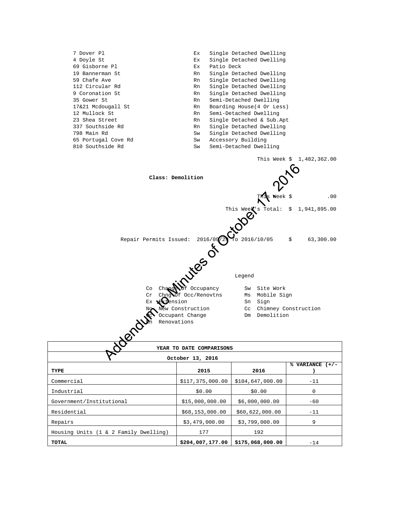| 7 Dover Pl          | Ex. | Single Detached Dwelling   |
|---------------------|-----|----------------------------|
| 4 Doyle St          | Еx  | Single Detached Dwelling   |
| 69 Gisborne Pl      | Ex  | Patio Deck                 |
| 19 Bannerman St     | Rn  | Single Detached Dwelling   |
| 59 Chafe Ave        | Rn  | Single Detached Dwelling   |
| 112 Circular Rd     | Rn  | Single Detached Dwelling   |
| 9 Coronation St     | Rn  | Single Detached Dwelling   |
| 35 Gower St         | Rn  | Semi-Detached Dwelling     |
| 17&21 Mcdougall St  | Rn  | Boarding House (4 Or Less) |
| 12 Mullock St       | Rn  | Semi-Detached Dwelling     |
| 23 Shea Street      | Rn  | Single Detached & Sub.Apt  |
| 337 Southside Rd    | Rn  | Single Detached Dwelling   |
| 798 Main Rd         | Sw  | Single Detached Dwelling   |
| 65 Portugal Cove Rd | Sw  | Accessory Building         |
| 810 Southside Rd    | Sw  | Semi-Detached Dwelling     |
|                     |     |                            |



| YEAR TO DATE COMPARISONS              |                  |                  |                 |  |  |  |  |  |
|---------------------------------------|------------------|------------------|-----------------|--|--|--|--|--|
| October 13, 2016                      |                  |                  |                 |  |  |  |  |  |
| TYPE                                  | 2015             | 2016             | % VARIANCE (+/- |  |  |  |  |  |
|                                       |                  |                  |                 |  |  |  |  |  |
| Commercial                            | \$117,375,000.00 | \$104,647,000.00 | $-11$           |  |  |  |  |  |
| Industrial                            | \$0.00           | \$0.00           | $\Omega$        |  |  |  |  |  |
| Government/Institutional              | \$15,000,000.00  | \$6,000,000.00   | $-60$           |  |  |  |  |  |
| Residential                           | \$68,153,000.00  | \$60,622,000.00  | $-11$           |  |  |  |  |  |
| Repairs                               | \$3,479,000.00   | \$3,799,000.00   | 9               |  |  |  |  |  |
| Housing Units (1 & 2 Family Dwelling) | 177              | 192              |                 |  |  |  |  |  |
| TOTAL                                 | \$204,007,177.00 | \$175,068,000.00 | $-14$           |  |  |  |  |  |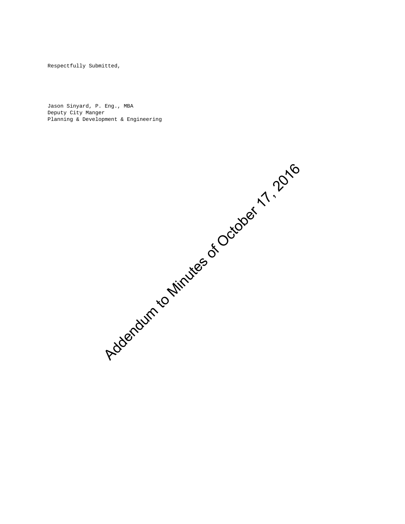Respectfully Submitted,

Jason Sinyard, P. Eng., MBA Deputy City Manger Planning & Development & Engineering

Addendum to Minutes of October 17, 2016